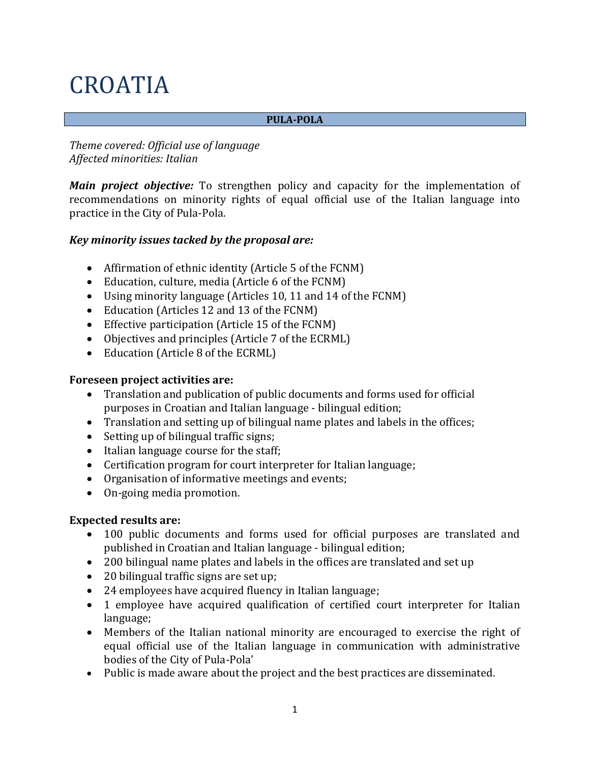# CROATIA

#### **PULA-POLA**

*Theme covered: Official use of language Affected minorities: Italian*

*Main project objective:* To strengthen policy and capacity for the implementation of recommendations on minority rights of equal official use of the Italian language into practice in the City of Pula-Pola.

#### *Key minority issues tacked by the proposal are:*

- Affirmation of ethnic identity (Article 5 of the FCNM)
- Education, culture, media (Article 6 of the FCNM)
- Using minority language (Articles 10, 11 and 14 of the FCNM)
- Education (Articles 12 and 13 of the FCNM)
- Effective participation (Article 15 of the FCNM)
- Objectives and principles (Article 7 of the ECRML)
- Education (Article 8 of the ECRML)

### **Foreseen project activities are:**

- Translation and publication of public documents and forms used for official purposes in Croatian and Italian language - bilingual edition;
- Translation and setting up of bilingual name plates and labels in the offices;
- Setting up of bilingual traffic signs;
- Italian language course for the staff;
- Certification program for court interpreter for Italian language;
- Organisation of informative meetings and events;
- On-going media promotion.

# **Expected results are:**

- 100 public documents and forms used for official purposes are translated and published in Croatian and Italian language - bilingual edition;
- 200 bilingual name plates and labels in the offices are translated and set up
- 20 bilingual traffic signs are set up;
- 24 employees have acquired fluency in Italian language;
- 1 employee have acquired qualification of certified court interpreter for Italian language;
- Members of the Italian national minority are encouraged to exercise the right of equal official use of the Italian language in communication with administrative bodies of the City of Pula-Pola'
- Public is made aware about the project and the best practices are disseminated.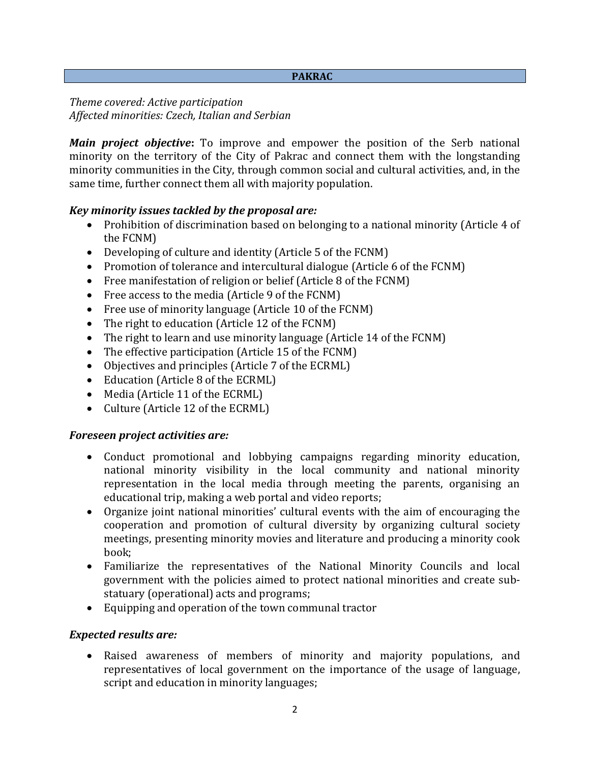#### **PAKRAC**

#### *Theme covered: Active participation Affected minorities: Czech, Italian and Serbian*

*Main project objective***:** To improve and empower the position of the Serb national minority on the territory of the City of Pakrac and connect them with the longstanding minority communities in the City, through common social and cultural activities, and, in the same time, further connect them all with majority population.

# *Key minority issues tackled by the proposal are:*

- Prohibition of discrimination based on belonging to a national minority (Article 4 of the FCNM)
- Developing of culture and identity (Article 5 of the FCNM)
- Promotion of tolerance and intercultural dialogue (Article 6 of the FCNM)
- Free manifestation of religion or belief (Article 8 of the FCNM)
- Free access to the media (Article 9 of the FCNM)
- Free use of minority language (Article 10 of the FCNM)
- The right to education (Article 12 of the FCNM)
- The right to learn and use minority language (Article 14 of the FCNM)
- The effective participation (Article 15 of the FCNM)
- Objectives and principles (Article 7 of the ECRML)
- Education (Article 8 of the ECRML)
- Media (Article 11 of the ECRML)
- Culture (Article 12 of the ECRML)

# *Foreseen project activities are:*

- Conduct promotional and lobbying campaigns regarding minority education, national minority visibility in the local community and national minority representation in the local media through meeting the parents, organising an educational trip, making a web portal and video reports;
- Organize joint national minorities' cultural events with the aim of encouraging the cooperation and promotion of cultural diversity by organizing cultural society meetings, presenting minority movies and literature and producing a minority cook book;
- Familiarize the representatives of the National Minority Councils and local government with the policies aimed to protect national minorities and create substatuary (operational) acts and programs;
- Equipping and operation of the town communal tractor

# *Expected results are:*

 Raised awareness of members of minority and majority populations, and representatives of local government on the importance of the usage of language, script and education in minority languages;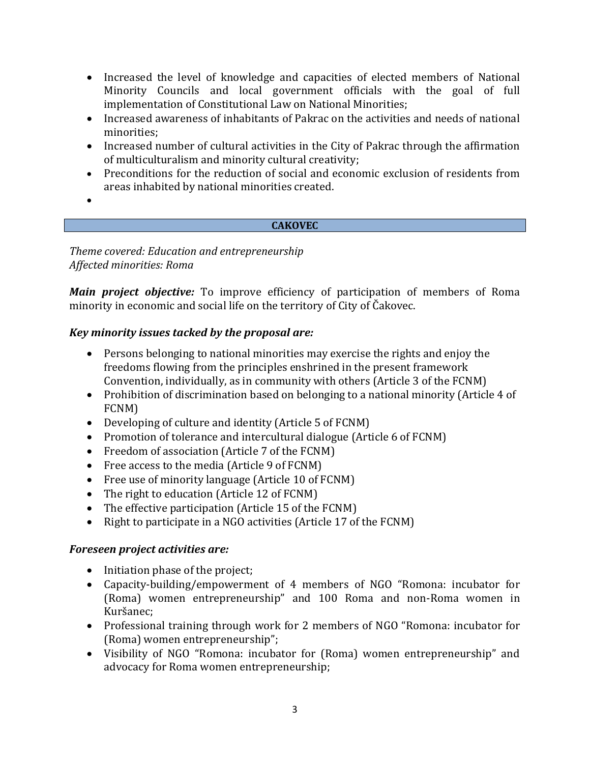- Increased the level of knowledge and capacities of elected members of National Minority Councils and local government officials with the goal of full implementation of Constitutional Law on National Minorities;
- Increased awareness of inhabitants of Pakrac on the activities and needs of national minorities;
- Increased number of cultural activities in the City of Pakrac through the affirmation of multiculturalism and minority cultural creativity;
- Preconditions for the reduction of social and economic exclusion of residents from areas inhabited by national minorities created.
- $\bullet$

# **CAKOVEC**

*Theme covered: Education and entrepreneurship Affected minorities: Roma*

*Main project objective:* To improve efficiency of participation of members of Roma minority in economic and social life on the territory of City of Čakovec.

# *Key minority issues tacked by the proposal are:*

- Persons belonging to national minorities may exercise the rights and enjoy the freedoms flowing from the principles enshrined in the present framework Convention, individually, as in community with others (Article 3 of the FCNM)
- Prohibition of discrimination based on belonging to a national minority (Article 4 of FCNM)
- Developing of culture and identity (Article 5 of FCNM)
- Promotion of tolerance and intercultural dialogue (Article 6 of FCNM)
- Freedom of association (Article 7 of the FCNM)
- Free access to the media (Article 9 of FCNM)
- Free use of minority language (Article 10 of FCNM)
- The right to education (Article 12 of FCNM)
- The effective participation (Article 15 of the FCNM)
- Right to participate in a NGO activities (Article 17 of the FCNM)

#### *Foreseen project activities are:*

- Initiation phase of the project;
- Capacity-building/empowerment of 4 members of NGO "Romona: incubator for (Roma) women entrepreneurship" and 100 Roma and non-Roma women in Kuršanec;
- Professional training through work for 2 members of NGO "Romona: incubator for (Roma) women entrepreneurship";
- Visibility of NGO "Romona: incubator for (Roma) women entrepreneurship" and advocacy for Roma women entrepreneurship;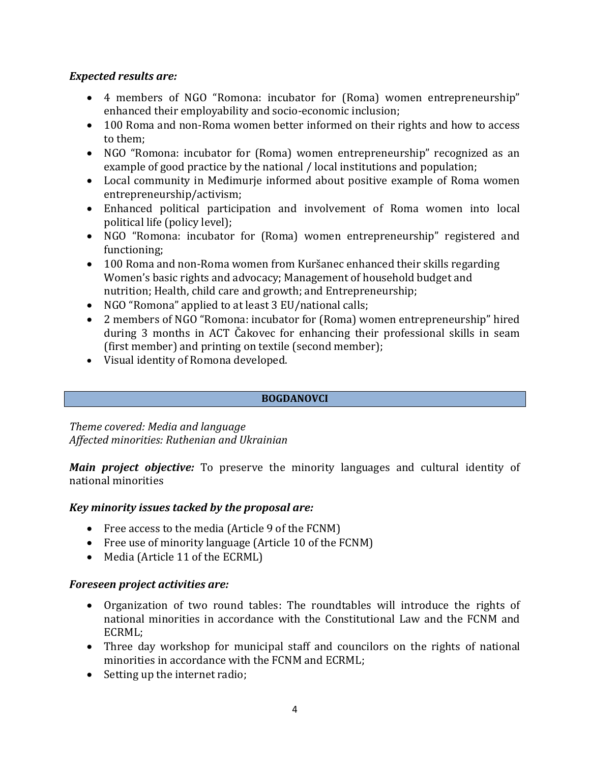#### *Expected results are:*

- 4 members of NGO "Romona: incubator for (Roma) women entrepreneurship" enhanced their employability and socio-economic inclusion;
- 100 Roma and non-Roma women better informed on their rights and how to access to them;
- NGO "Romona: incubator for (Roma) women entrepreneurship" recognized as an example of good practice by the national / local institutions and population;
- Local community in Međimurje informed about positive example of Roma women entrepreneurship/activism;
- Enhanced political participation and involvement of Roma women into local political life (policy level);
- NGO "Romona: incubator for (Roma) women entrepreneurship" registered and functioning;
- 100 Roma and non-Roma women from Kuršanec enhanced their skills regarding Women's basic rights and advocacy; Management of household budget and nutrition; Health, child care and growth; and Entrepreneurship;
- NGO "Romona" applied to at least 3 EU/national calls;
- 2 members of NGO "Romona: incubator for (Roma) women entrepreneurship" hired during 3 months in ACT Čakovec for enhancing their professional skills in seam (first member) and printing on textile (second member);
- Visual identity of Romona developed.

#### **BOGDANOVCI**

*Theme covered: Media and language Affected minorities: Ruthenian and Ukrainian* 

*Main project objective:* To preserve the minority languages and cultural identity of national minorities

#### *Key minority issues tacked by the proposal are:*

- Free access to the media (Article 9 of the FCNM)
- Free use of minority language (Article 10 of the FCNM)
- Media (Article 11 of the ECRML)

# *Foreseen project activities are:*

- Organization of two round tables: The roundtables will introduce the rights of national minorities in accordance with the Constitutional Law and the FCNM and ECRML;
- Three day workshop for municipal staff and councilors on the rights of national minorities in accordance with the FCNM and ECRML;
- Setting up the internet radio;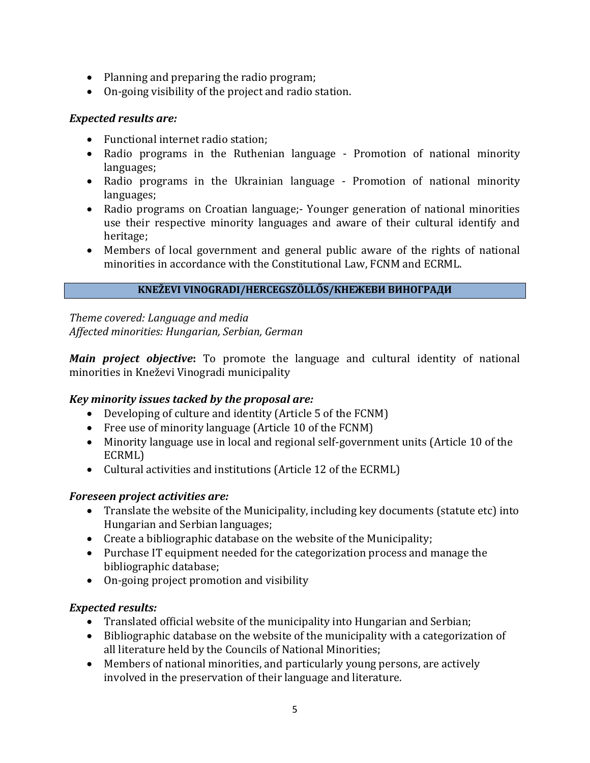- Planning and preparing the radio program;
- On-going visibility of the project and radio station.

#### *Expected results are:*

- Functional internet radio station:
- Radio programs in the Ruthenian language Promotion of national minority languages;
- Radio programs in the Ukrainian language Promotion of national minority languages;
- Radio programs on Croatian language; Younger generation of national minorities use their respective minority languages and aware of their cultural identify and heritage;
- Members of local government and general public aware of the rights of national minorities in accordance with the Constitutional Law, FCNM and ECRML.

#### **KNEŽEVI VINOGRADI/HERCEGSZÖLLŐS/КНЕЖЕВИ ВИНОГРАДИ**

*Theme covered: Language and media Affected minorities: Hungarian, Serbian, German*

*Main project objective***:** To promote the language and cultural identity of national minorities in Kneževi Vinogradi municipality

# *Key minority issues tacked by the proposal are:*

- Developing of culture and identity (Article 5 of the FCNM)
- Free use of minority language (Article 10 of the FCNM)
- Minority language use in local and regional self-government units (Article 10 of the ECRML)
- Cultural activities and institutions (Article 12 of the ECRML)

#### *Foreseen project activities are:*

- Translate the website of the Municipality, including key documents (statute etc) into Hungarian and Serbian languages;
- Create a bibliographic database on the website of the Municipality;
- Purchase IT equipment needed for the categorization process and manage the bibliographic database;
- On-going project promotion and visibility

# *Expected results:*

- Translated official website of the municipality into Hungarian and Serbian;
- Bibliographic database on the website of the municipality with a categorization of all literature held by the Councils of National Minorities;
- Members of national minorities, and particularly young persons, are actively involved in the preservation of their language and literature.